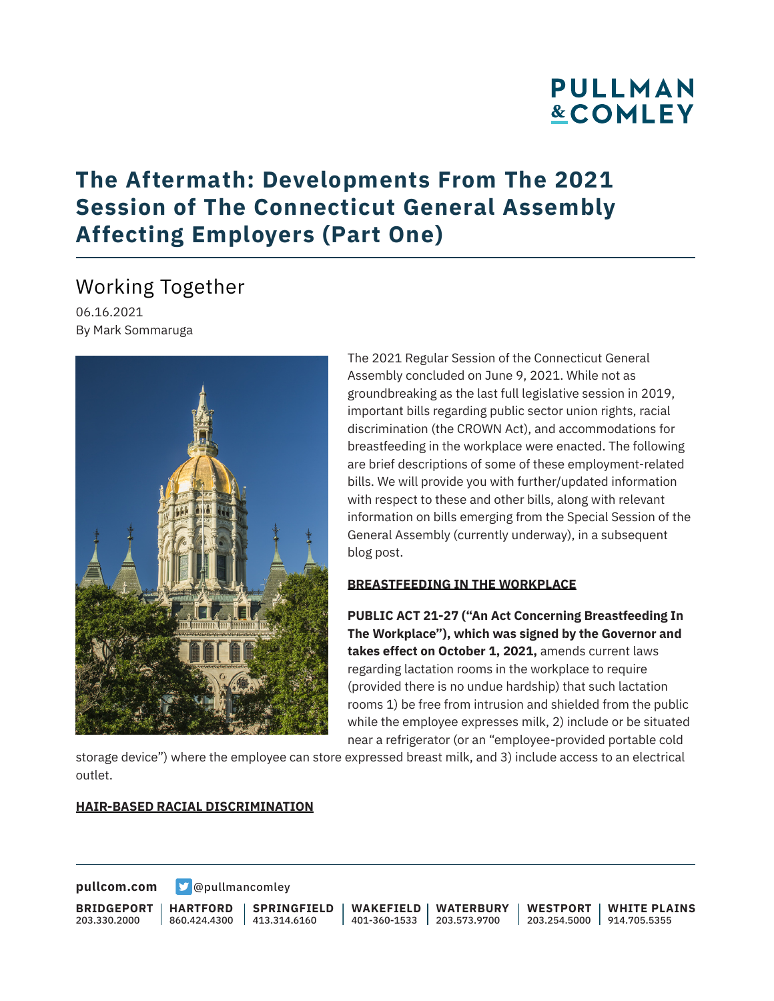## **The Aftermath: Developments From The 2021 Session of The Connecticut General Assembly Affecting Employers (Part One)**

## Working Together

06.16.2021 By Mark Sommaruga



The 2021 Regular Session of the Connecticut General Assembly concluded on June 9, 2021. While not as groundbreaking as the last full legislative session in 2019, important bills regarding public sector union rights, racial discrimination (the CROWN Act), and accommodations for breastfeeding in the workplace were enacted. The following are brief descriptions of some of these employment-related bills. We will provide you with further/updated information with respect to these and other bills, along with relevant information on bills emerging from the Special Session of the General Assembly (currently underway), in a subsequent blog post.

#### **BREASTFEEDING IN THE WORKPLACE**

**PUBLIC ACT 21-27 ("An Act Concerning Breastfeeding In The Workplace"), which was signed by the Governor and takes effect on October 1, 2021,** amends current laws regarding lactation rooms in the workplace to require (provided there is no undue hardship) that such lactation rooms 1) be free from intrusion and shielded from the public while the employee expresses milk, 2) include or be situated near a refrigerator (or an "employee-provided portable cold

storage device") where the employee can store expressed breast milk, and 3) include access to an electrical outlet.

#### **HAIR-BASED RACIAL DISCRIMINATION**

**[pullcom.com](https://www.pullcom.com) g** [@pullmancomley](https://twitter.com/PullmanComley)

**BRIDGEPORT** 203.330.2000

**HARTFORD** 860.424.4300 413.314.6160

**SPRINGFIELD**

**WAKEFIELD** 401-360-1533 203.573.9700 **WATERBURY**

**WESTPORT** 203.254.5000 914.705.5355 **WHITE PLAINS**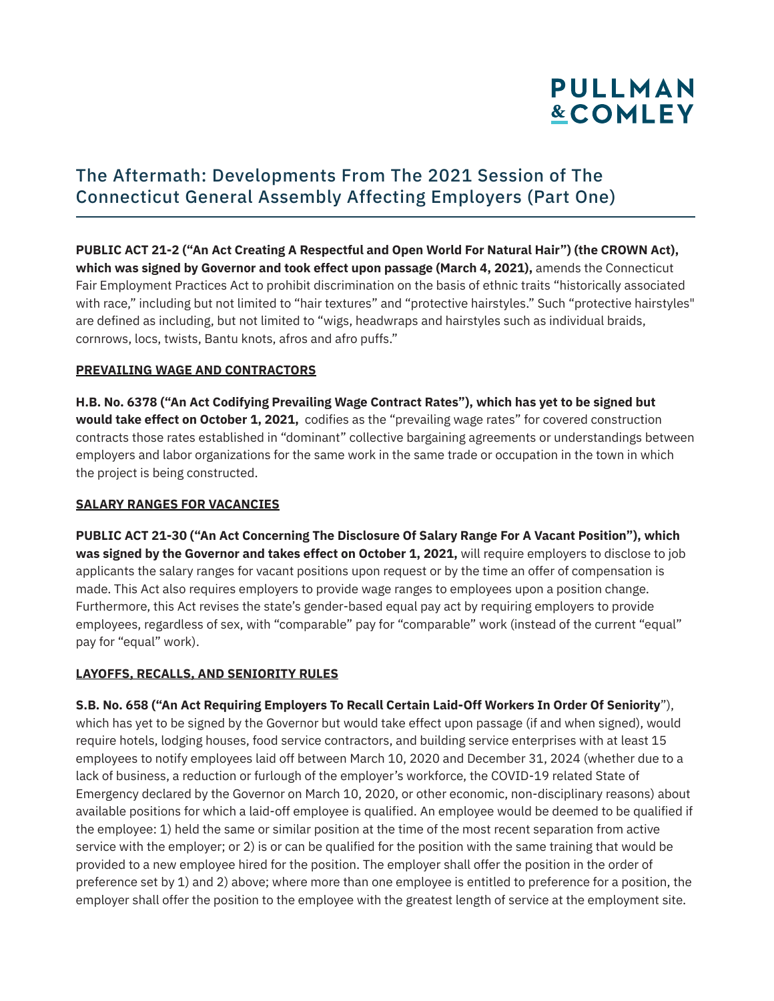## The Aftermath: Developments From The 2021 Session of The Connecticut General Assembly Affecting Employers (Part One)

**PUBLIC ACT 21-2 ("An Act Creating A Respectful and Open World For Natural Hair") (the CROWN Act), which was signed by Governor and took effect upon passage (March 4, 2021),** amends the Connecticut Fair Employment Practices Act to prohibit discrimination on the basis of ethnic traits "historically associated with race," including but not limited to "hair textures" and "protective hairstyles." Such "protective hairstyles" are defined as including, but not limited to "wigs, headwraps and hairstyles such as individual braids, cornrows, locs, twists, Bantu knots, afros and afro puffs."

### **PREVAILING WAGE AND CONTRACTORS**

**H.B. No. 6378 ("An Act Codifying Prevailing Wage Contract Rates"), which has yet to be signed but would take effect on October 1, 2021,** codifies as the "prevailing wage rates" for covered construction contracts those rates established in "dominant" collective bargaining agreements or understandings between employers and labor organizations for the same work in the same trade or occupation in the town in which the project is being constructed.

### **SALARY RANGES FOR VACANCIES**

**PUBLIC ACT 21-30 ("An Act Concerning The Disclosure Of Salary Range For A Vacant Position"), which was signed by the Governor and takes effect on October 1, 2021,** will require employers to disclose to job applicants the salary ranges for vacant positions upon request or by the time an offer of compensation is made. This Act also requires employers to provide wage ranges to employees upon a position change. Furthermore, this Act revises the state's gender-based equal pay act by requiring employers to provide employees, regardless of sex, with "comparable" pay for "comparable" work (instead of the current "equal" pay for "equal" work).

### **LAYOFFS, RECALLS, AND SENIORITY RULES**

**S.B. No. 658 ("An Act Requiring Employers To Recall Certain Laid-Off Workers In Order Of Seniority**"), which has yet to be signed by the Governor but would take effect upon passage (if and when signed), would require hotels, lodging houses, food service contractors, and building service enterprises with at least 15 employees to notify employees laid off between March 10, 2020 and December 31, 2024 (whether due to a lack of business, a reduction or furlough of the employer's workforce, the COVID-19 related State of Emergency declared by the Governor on March 10, 2020, or other economic, non-disciplinary reasons) about available positions for which a laid-off employee is qualified. An employee would be deemed to be qualified if the employee: 1) held the same or similar position at the time of the most recent separation from active service with the employer; or 2) is or can be qualified for the position with the same training that would be provided to a new employee hired for the position. The employer shall offer the position in the order of preference set by 1) and 2) above; where more than one employee is entitled to preference for a position, the employer shall offer the position to the employee with the greatest length of service at the employment site.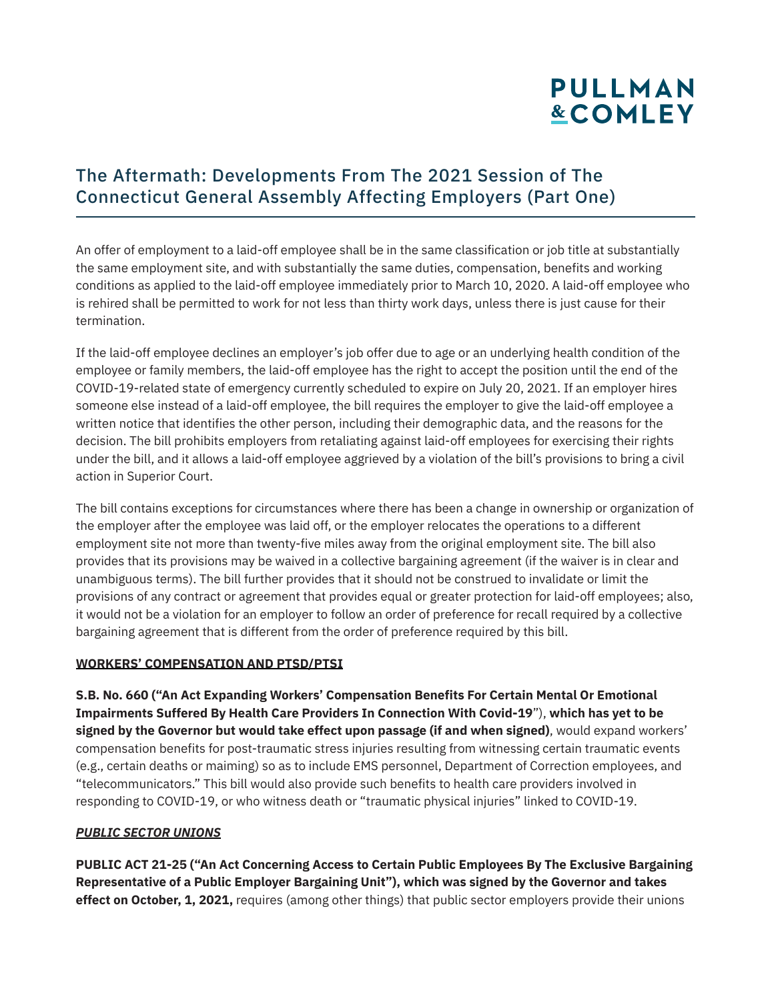## The Aftermath: Developments From The 2021 Session of The Connecticut General Assembly Affecting Employers (Part One)

An offer of employment to a laid-off employee shall be in the same classification or job title at substantially the same employment site, and with substantially the same duties, compensation, benefits and working conditions as applied to the laid-off employee immediately prior to March 10, 2020. A laid-off employee who is rehired shall be permitted to work for not less than thirty work days, unless there is just cause for their termination.

If the laid-off employee declines an employer's job offer due to age or an underlying health condition of the employee or family members, the laid-off employee has the right to accept the position until the end of the COVID-19-related state of emergency currently scheduled to expire on July 20, 2021. If an employer hires someone else instead of a laid-off employee, the bill requires the employer to give the laid-off employee a written notice that identifies the other person, including their demographic data, and the reasons for the decision. The bill prohibits employers from retaliating against laid-off employees for exercising their rights under the bill, and it allows a laid-off employee aggrieved by a violation of the bill's provisions to bring a civil action in Superior Court.

The bill contains exceptions for circumstances where there has been a change in ownership or organization of the employer after the employee was laid off, or the employer relocates the operations to a different employment site not more than twenty-five miles away from the original employment site. The bill also provides that its provisions may be waived in a collective bargaining agreement (if the waiver is in clear and unambiguous terms). The bill further provides that it should not be construed to invalidate or limit the provisions of any contract or agreement that provides equal or greater protection for laid-off employees; also, it would not be a violation for an employer to follow an order of preference for recall required by a collective bargaining agreement that is different from the order of preference required by this bill.

### **WORKERS' COMPENSATION AND PTSD/PTSI**

**S.B. No. 660 ("An Act Expanding Workers' Compensation Benefits For Certain Mental Or Emotional Impairments Suffered By Health Care Providers In Connection With Covid-19**"), **which has yet to be signed by the Governor but would take effect upon passage (if and when signed)**, would expand workers' compensation benefits for post-traumatic stress injuries resulting from witnessing certain traumatic events (e.g., certain deaths or maiming) so as to include EMS personnel, Department of Correction employees, and "telecommunicators." This bill would also provide such benefits to health care providers involved in responding to COVID-19, or who witness death or "traumatic physical injuries" linked to COVID-19.

#### *PUBLIC SECTOR UNIONS*

**PUBLIC ACT 21-25 ("An Act Concerning Access to Certain Public Employees By The Exclusive Bargaining Representative of a Public Employer Bargaining Unit"), which was signed by the Governor and takes effect on October, 1, 2021,** requires (among other things) that public sector employers provide their unions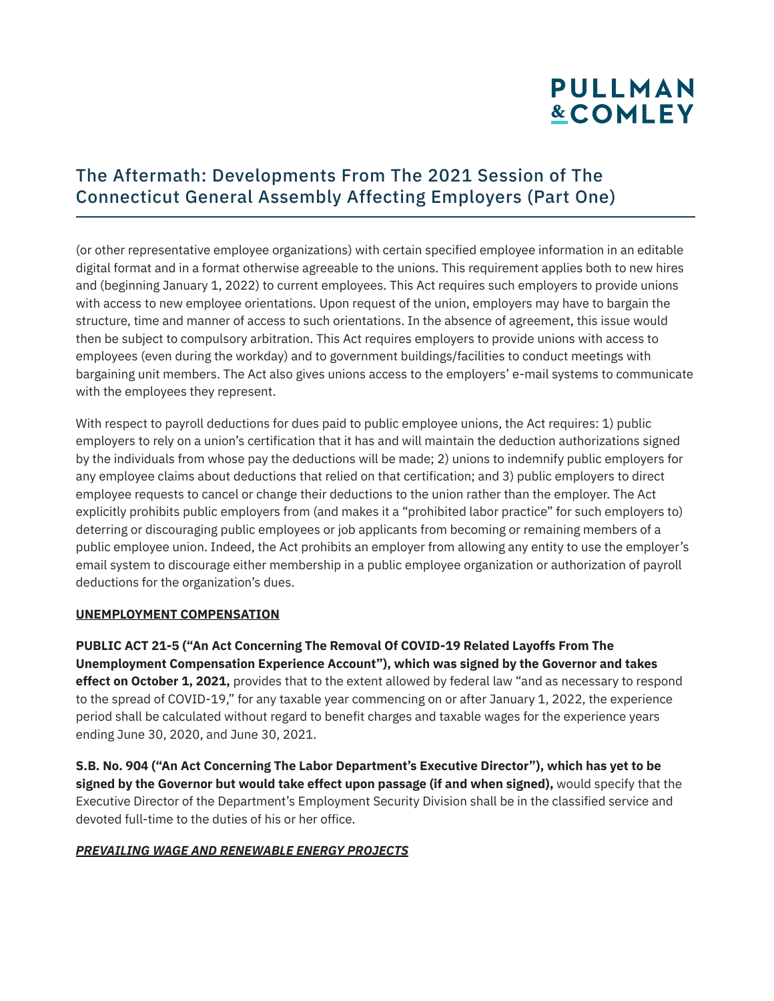## The Aftermath: Developments From The 2021 Session of The Connecticut General Assembly Affecting Employers (Part One)

(or other representative employee organizations) with certain specified employee information in an editable digital format and in a format otherwise agreeable to the unions. This requirement applies both to new hires and (beginning January 1, 2022) to current employees. This Act requires such employers to provide unions with access to new employee orientations. Upon request of the union, employers may have to bargain the structure, time and manner of access to such orientations. In the absence of agreement, this issue would then be subject to compulsory arbitration. This Act requires employers to provide unions with access to employees (even during the workday) and to government buildings/facilities to conduct meetings with bargaining unit members. The Act also gives unions access to the employers' e-mail systems to communicate with the employees they represent.

With respect to payroll deductions for dues paid to public employee unions, the Act requires: 1) public employers to rely on a union's certification that it has and will maintain the deduction authorizations signed by the individuals from whose pay the deductions will be made; 2) unions to indemnify public employers for any employee claims about deductions that relied on that certification; and 3) public employers to direct employee requests to cancel or change their deductions to the union rather than the employer. The Act explicitly prohibits public employers from (and makes it a "prohibited labor practice" for such employers to) deterring or discouraging public employees or job applicants from becoming or remaining members of a public employee union. Indeed, the Act prohibits an employer from allowing any entity to use the employer's email system to discourage either membership in a public employee organization or authorization of payroll deductions for the organization's dues.

#### **UNEMPLOYMENT COMPENSATION**

**PUBLIC ACT 21-5 ("An Act Concerning The Removal Of COVID-19 Related Layoffs From The Unemployment Compensation Experience Account"), which was signed by the Governor and takes effect on October 1, 2021,** provides that to the extent allowed by federal law "and as necessary to respond to the spread of COVID-19," for any taxable year commencing on or after January 1, 2022, the experience period shall be calculated without regard to benefit charges and taxable wages for the experience years ending June 30, 2020, and June 30, 2021.

**S.B. No. 904 ("An Act Concerning The Labor Department's Executive Director"), which has yet to be signed by the Governor but would take effect upon passage (if and when signed),** would specify that the Executive Director of the Department's Employment Security Division shall be in the classified service and devoted full-time to the duties of his or her office.

### *PREVAILING WAGE AND RENEWABLE ENERGY PROJECTS*